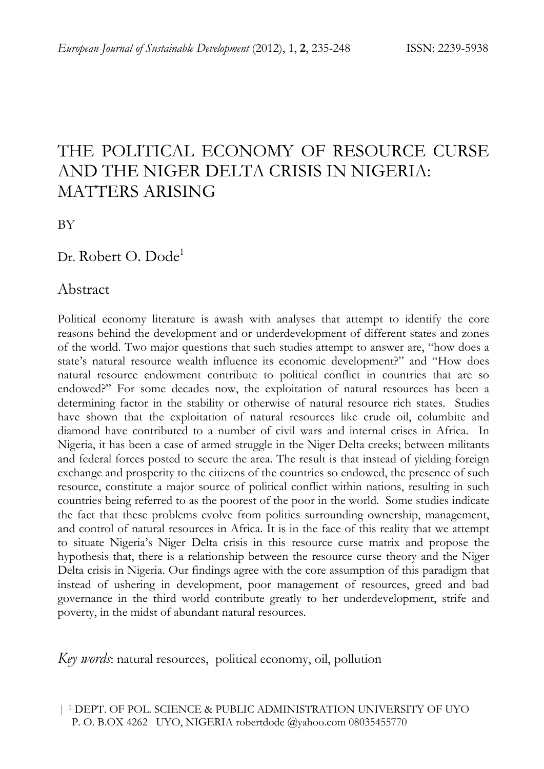# THE POLITICAL ECONOMY OF RESOURCE CURSE AND THE NIGER DELTA CRISIS IN NIGERIA: MATTERS ARISING

BY

Dr. Robert O. Dode<sup>1</sup>

#### Abstract

Political economy literature is awash with analyses that attempt to identify the core reasons behind the development and or underdevelopment of different states and zones of the world. Two major questions that such studies attempt to answer are, "how does a state's natural resource wealth influence its economic development?" and "How does natural resource endowment contribute to political conflict in countries that are so endowed?" For some decades now, the exploitation of natural resources has been a determining factor in the stability or otherwise of natural resource rich states. Studies have shown that the exploitation of natural resources like crude oil, columbite and diamond have contributed to a number of civil wars and internal crises in Africa. In Nigeria, it has been a case of armed struggle in the Niger Delta creeks; between militants and federal forces posted to secure the area. The result is that instead of yielding foreign exchange and prosperity to the citizens of the countries so endowed, the presence of such resource, constitute a major source of political conflict within nations, resulting in such countries being referred to as the poorest of the poor in the world. Some studies indicate the fact that these problems evolve from politics surrounding ownership, management, and control of natural resources in Africa. It is in the face of this reality that we attempt to situate Nigeria's Niger Delta crisis in this resource curse matrix and propose the hypothesis that, there is a relationship between the resource curse theory and the Niger Delta crisis in Nigeria. Our findings agree with the core assumption of this paradigm that instead of ushering in development, poor management of resources, greed and bad governance in the third world contribute greatly to her underdevelopment, strife and poverty, in the midst of abundant natural resources.

*Key words*: natural resources, political economy, oil, pollution

 | 1 DEPT. OF POL. SCIENCE & PUBLIC ADMINISTRATION UNIVERSITY OF UYO P. O. B.OX 4262 UYO, NIGERIA robertdode @yahoo.com 08035455770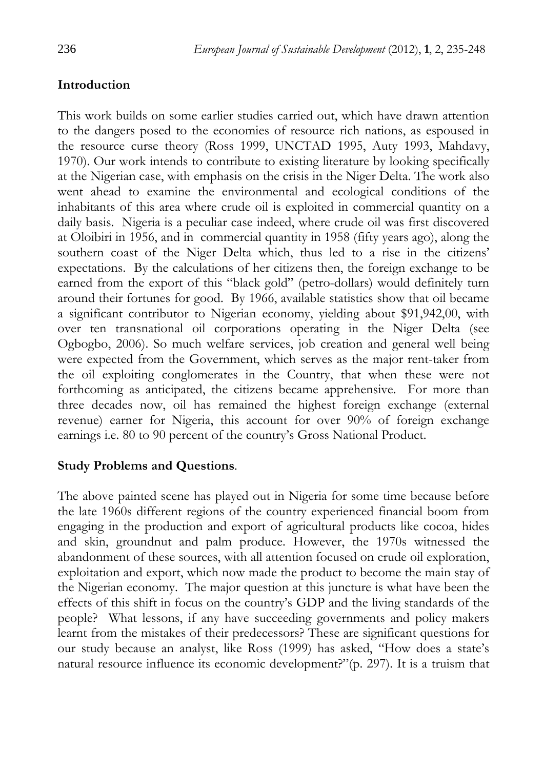## **Introduction**

This work builds on some earlier studies carried out, which have drawn attention to the dangers posed to the economies of resource rich nations, as espoused in the resource curse theory (Ross 1999, UNCTAD 1995, Auty 1993, Mahdavy, 1970). Our work intends to contribute to existing literature by looking specifically at the Nigerian case, with emphasis on the crisis in the Niger Delta. The work also went ahead to examine the environmental and ecological conditions of the inhabitants of this area where crude oil is exploited in commercial quantity on a daily basis. Nigeria is a peculiar case indeed, where crude oil was first discovered at Oloibiri in 1956, and in commercial quantity in 1958 (fifty years ago), along the southern coast of the Niger Delta which, thus led to a rise in the citizens' expectations. By the calculations of her citizens then, the foreign exchange to be earned from the export of this "black gold" (petro-dollars) would definitely turn around their fortunes for good. By 1966, available statistics show that oil became a significant contributor to Nigerian economy, yielding about \$91,942,00, with over ten transnational oil corporations operating in the Niger Delta (see Ogbogbo, 2006). So much welfare services, job creation and general well being were expected from the Government, which serves as the major rent-taker from the oil exploiting conglomerates in the Country, that when these were not forthcoming as anticipated, the citizens became apprehensive. For more than three decades now, oil has remained the highest foreign exchange (external revenue) earner for Nigeria, this account for over 90% of foreign exchange earnings i.e. 80 to 90 percent of the country's Gross National Product.

#### **Study Problems and Questions**.

The above painted scene has played out in Nigeria for some time because before the late 1960s different regions of the country experienced financial boom from engaging in the production and export of agricultural products like cocoa, hides and skin, groundnut and palm produce. However, the 1970s witnessed the abandonment of these sources, with all attention focused on crude oil exploration, exploitation and export, which now made the product to become the main stay of the Nigerian economy. The major question at this juncture is what have been the effects of this shift in focus on the country's GDP and the living standards of the people? What lessons, if any have succeeding governments and policy makers learnt from the mistakes of their predecessors? These are significant questions for our study because an analyst, like Ross (1999) has asked, "How does a state's natural resource influence its economic development?"(p. 297). It is a truism that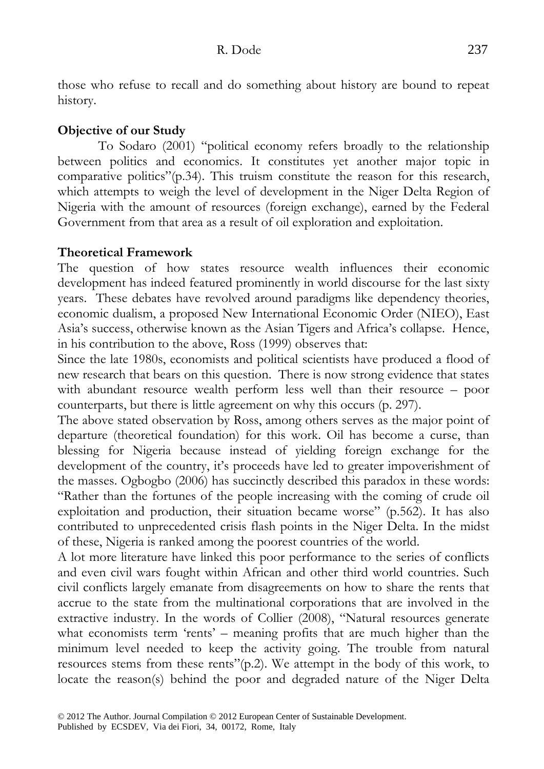those who refuse to recall and do something about history are bound to repeat history.

## **Objective of our Study**

 To Sodaro (2001) "political economy refers broadly to the relationship between politics and economics. It constitutes yet another major topic in comparative politics"(p.34). This truism constitute the reason for this research, which attempts to weigh the level of development in the Niger Delta Region of Nigeria with the amount of resources (foreign exchange), earned by the Federal Government from that area as a result of oil exploration and exploitation.

# **Theoretical Framework**

The question of how states resource wealth influences their economic development has indeed featured prominently in world discourse for the last sixty years. These debates have revolved around paradigms like dependency theories, economic dualism, a proposed New International Economic Order (NIEO), East Asia's success, otherwise known as the Asian Tigers and Africa's collapse. Hence, in his contribution to the above, Ross (1999) observes that:

Since the late 1980s, economists and political scientists have produced a flood of new research that bears on this question. There is now strong evidence that states with abundant resource wealth perform less well than their resource – poor counterparts, but there is little agreement on why this occurs (p. 297).

The above stated observation by Ross, among others serves as the major point of departure (theoretical foundation) for this work. Oil has become a curse, than blessing for Nigeria because instead of yielding foreign exchange for the development of the country, it's proceeds have led to greater impoverishment of the masses. Ogbogbo (2006) has succinctly described this paradox in these words: "Rather than the fortunes of the people increasing with the coming of crude oil exploitation and production, their situation became worse" (p.562). It has also contributed to unprecedented crisis flash points in the Niger Delta. In the midst of these, Nigeria is ranked among the poorest countries of the world.

A lot more literature have linked this poor performance to the series of conflicts and even civil wars fought within African and other third world countries. Such civil conflicts largely emanate from disagreements on how to share the rents that accrue to the state from the multinational corporations that are involved in the extractive industry. In the words of Collier (2008), "Natural resources generate what economists term 'rents' – meaning profits that are much higher than the minimum level needed to keep the activity going. The trouble from natural resources stems from these rents"(p.2). We attempt in the body of this work, to locate the reason(s) behind the poor and degraded nature of the Niger Delta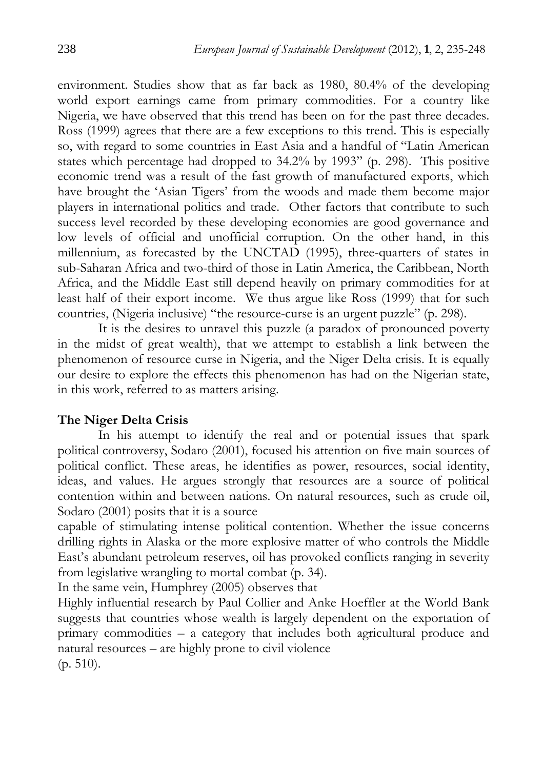environment. Studies show that as far back as 1980, 80.4% of the developing world export earnings came from primary commodities. For a country like Nigeria, we have observed that this trend has been on for the past three decades. Ross (1999) agrees that there are a few exceptions to this trend. This is especially so, with regard to some countries in East Asia and a handful of "Latin American states which percentage had dropped to 34.2% by 1993" (p. 298). This positive economic trend was a result of the fast growth of manufactured exports, which have brought the 'Asian Tigers' from the woods and made them become major players in international politics and trade. Other factors that contribute to such success level recorded by these developing economies are good governance and low levels of official and unofficial corruption. On the other hand, in this millennium, as forecasted by the UNCTAD (1995), three-quarters of states in sub-Saharan Africa and two-third of those in Latin America, the Caribbean, North Africa, and the Middle East still depend heavily on primary commodities for at least half of their export income. We thus argue like Ross (1999) that for such countries, (Nigeria inclusive) "the resource-curse is an urgent puzzle" (p. 298).

 It is the desires to unravel this puzzle (a paradox of pronounced poverty in the midst of great wealth), that we attempt to establish a link between the phenomenon of resource curse in Nigeria, and the Niger Delta crisis. It is equally our desire to explore the effects this phenomenon has had on the Nigerian state, in this work, referred to as matters arising.

#### **The Niger Delta Crisis**

 In his attempt to identify the real and or potential issues that spark political controversy, Sodaro (2001), focused his attention on five main sources of political conflict. These areas, he identifies as power, resources, social identity, ideas, and values. He argues strongly that resources are a source of political contention within and between nations. On natural resources, such as crude oil, Sodaro (2001) posits that it is a source

capable of stimulating intense political contention. Whether the issue concerns drilling rights in Alaska or the more explosive matter of who controls the Middle East's abundant petroleum reserves, oil has provoked conflicts ranging in severity from legislative wrangling to mortal combat (p. 34).

In the same vein, Humphrey (2005) observes that

Highly influential research by Paul Collier and Anke Hoeffler at the World Bank suggests that countries whose wealth is largely dependent on the exportation of primary commodities – a category that includes both agricultural produce and natural resources – are highly prone to civil violence (p. 510).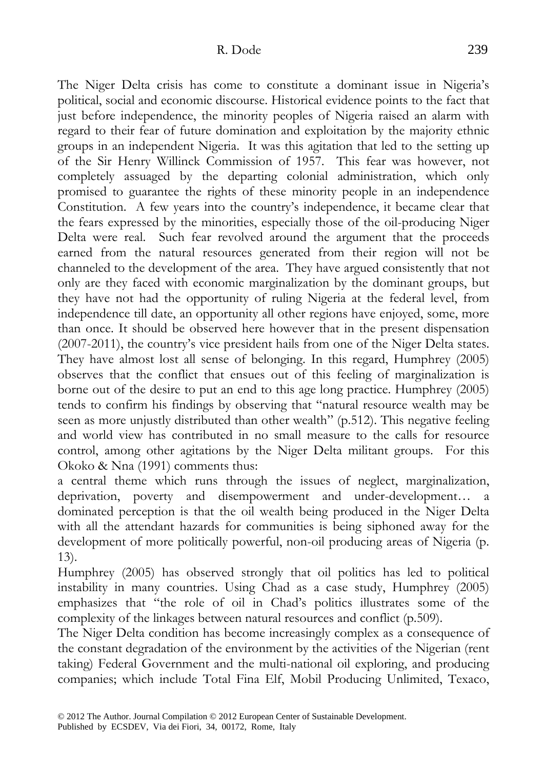The Niger Delta crisis has come to constitute a dominant issue in Nigeria's political, social and economic discourse. Historical evidence points to the fact that just before independence, the minority peoples of Nigeria raised an alarm with regard to their fear of future domination and exploitation by the majority ethnic groups in an independent Nigeria. It was this agitation that led to the setting up of the Sir Henry Willinck Commission of 1957. This fear was however, not completely assuaged by the departing colonial administration, which only promised to guarantee the rights of these minority people in an independence Constitution. A few years into the country's independence, it became clear that the fears expressed by the minorities, especially those of the oil-producing Niger Delta were real. Such fear revolved around the argument that the proceeds earned from the natural resources generated from their region will not be channeled to the development of the area. They have argued consistently that not only are they faced with economic marginalization by the dominant groups, but they have not had the opportunity of ruling Nigeria at the federal level, from independence till date, an opportunity all other regions have enjoyed, some, more than once. It should be observed here however that in the present dispensation (2007-2011), the country's vice president hails from one of the Niger Delta states. They have almost lost all sense of belonging. In this regard, Humphrey (2005) observes that the conflict that ensues out of this feeling of marginalization is borne out of the desire to put an end to this age long practice. Humphrey (2005) tends to confirm his findings by observing that "natural resource wealth may be seen as more unjustly distributed than other wealth" (p.512). This negative feeling and world view has contributed in no small measure to the calls for resource control, among other agitations by the Niger Delta militant groups. For this Okoko & Nna (1991) comments thus:

a central theme which runs through the issues of neglect, marginalization, deprivation, poverty and disempowerment and under-development… a dominated perception is that the oil wealth being produced in the Niger Delta with all the attendant hazards for communities is being siphoned away for the development of more politically powerful, non-oil producing areas of Nigeria (p. 13).

Humphrey (2005) has observed strongly that oil politics has led to political instability in many countries. Using Chad as a case study, Humphrey (2005) emphasizes that "the role of oil in Chad's politics illustrates some of the complexity of the linkages between natural resources and conflict (p.509).

The Niger Delta condition has become increasingly complex as a consequence of the constant degradation of the environment by the activities of the Nigerian (rent taking) Federal Government and the multi-national oil exploring, and producing companies; which include Total Fina Elf, Mobil Producing Unlimited, Texaco,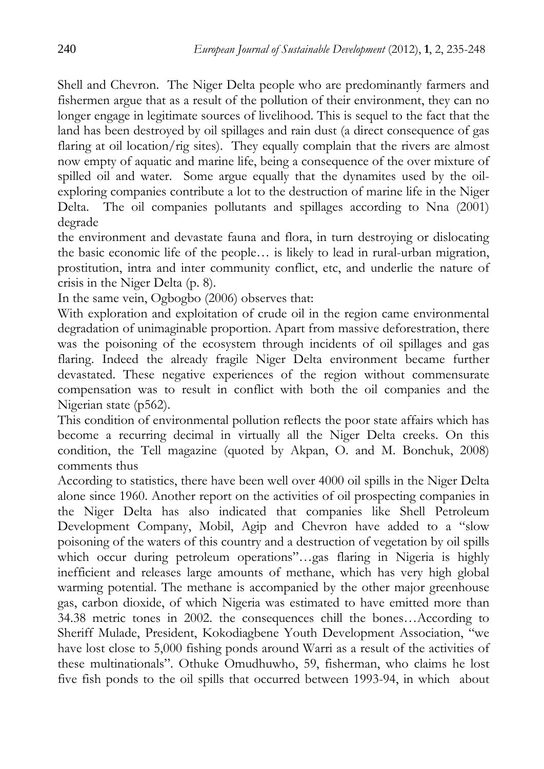Shell and Chevron. The Niger Delta people who are predominantly farmers and fishermen argue that as a result of the pollution of their environment, they can no longer engage in legitimate sources of livelihood. This is sequel to the fact that the land has been destroyed by oil spillages and rain dust (a direct consequence of gas flaring at oil location/rig sites). They equally complain that the rivers are almost now empty of aquatic and marine life, being a consequence of the over mixture of spilled oil and water. Some argue equally that the dynamites used by the oilexploring companies contribute a lot to the destruction of marine life in the Niger Delta. The oil companies pollutants and spillages according to Nna (2001) degrade

the environment and devastate fauna and flora, in turn destroying or dislocating the basic economic life of the people… is likely to lead in rural-urban migration, prostitution, intra and inter community conflict, etc, and underlie the nature of crisis in the Niger Delta (p. 8).

In the same vein, Ogbogbo (2006) observes that:

With exploration and exploitation of crude oil in the region came environmental degradation of unimaginable proportion. Apart from massive deforestration, there was the poisoning of the ecosystem through incidents of oil spillages and gas flaring. Indeed the already fragile Niger Delta environment became further devastated. These negative experiences of the region without commensurate compensation was to result in conflict with both the oil companies and the Nigerian state (p562).

This condition of environmental pollution reflects the poor state affairs which has become a recurring decimal in virtually all the Niger Delta creeks. On this condition, the Tell magazine (quoted by Akpan, O. and M. Bonchuk, 2008) comments thus

According to statistics, there have been well over 4000 oil spills in the Niger Delta alone since 1960. Another report on the activities of oil prospecting companies in the Niger Delta has also indicated that companies like Shell Petroleum Development Company, Mobil, Agip and Chevron have added to a "slow poisoning of the waters of this country and a destruction of vegetation by oil spills which occur during petroleum operations"…gas flaring in Nigeria is highly inefficient and releases large amounts of methane, which has very high global warming potential. The methane is accompanied by the other major greenhouse gas, carbon dioxide, of which Nigeria was estimated to have emitted more than 34.38 metric tones in 2002. the consequences chill the bones…According to Sheriff Mulade, President, Kokodiagbene Youth Development Association, "we have lost close to 5,000 fishing ponds around Warri as a result of the activities of these multinationals". Othuke Omudhuwho, 59, fisherman, who claims he lost five fish ponds to the oil spills that occurred between 1993-94, in which about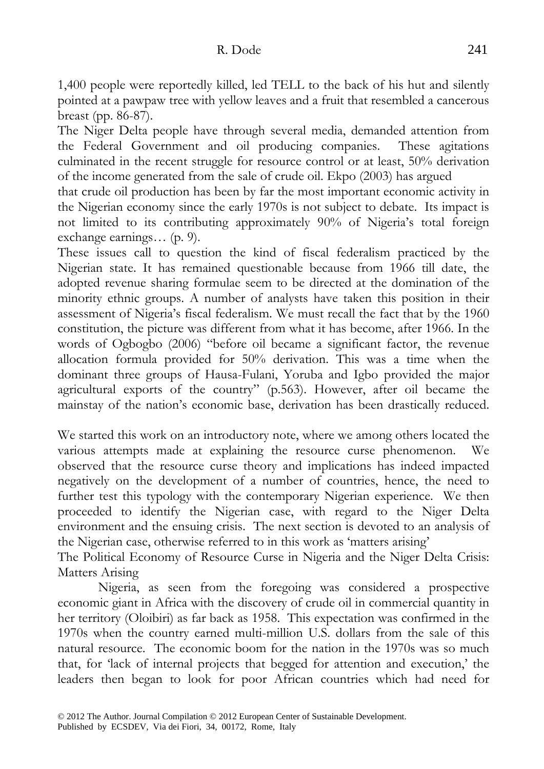1,400 people were reportedly killed, led TELL to the back of his hut and silently pointed at a pawpaw tree with yellow leaves and a fruit that resembled a cancerous breast (pp. 86-87).

The Niger Delta people have through several media, demanded attention from the Federal Government and oil producing companies. These agitations culminated in the recent struggle for resource control or at least, 50% derivation of the income generated from the sale of crude oil. Ekpo (2003) has argued

that crude oil production has been by far the most important economic activity in the Nigerian economy since the early 1970s is not subject to debate. Its impact is not limited to its contributing approximately 90% of Nigeria's total foreign exchange earnings… (p. 9).

These issues call to question the kind of fiscal federalism practiced by the Nigerian state. It has remained questionable because from 1966 till date, the adopted revenue sharing formulae seem to be directed at the domination of the minority ethnic groups. A number of analysts have taken this position in their assessment of Nigeria's fiscal federalism. We must recall the fact that by the 1960 constitution, the picture was different from what it has become, after 1966. In the words of Ogbogbo (2006) "before oil became a significant factor, the revenue allocation formula provided for 50% derivation. This was a time when the dominant three groups of Hausa-Fulani, Yoruba and Igbo provided the major agricultural exports of the country" (p.563). However, after oil became the mainstay of the nation's economic base, derivation has been drastically reduced.

We started this work on an introductory note, where we among others located the various attempts made at explaining the resource curse phenomenon. We observed that the resource curse theory and implications has indeed impacted negatively on the development of a number of countries, hence, the need to further test this typology with the contemporary Nigerian experience. We then proceeded to identify the Nigerian case, with regard to the Niger Delta environment and the ensuing crisis. The next section is devoted to an analysis of the Nigerian case, otherwise referred to in this work as 'matters arising'

The Political Economy of Resource Curse in Nigeria and the Niger Delta Crisis: Matters Arising

 Nigeria, as seen from the foregoing was considered a prospective economic giant in Africa with the discovery of crude oil in commercial quantity in her territory (Oloibiri) as far back as 1958. This expectation was confirmed in the 1970s when the country earned multi-million U.S. dollars from the sale of this natural resource. The economic boom for the nation in the 1970s was so much that, for 'lack of internal projects that begged for attention and execution,' the leaders then began to look for poor African countries which had need for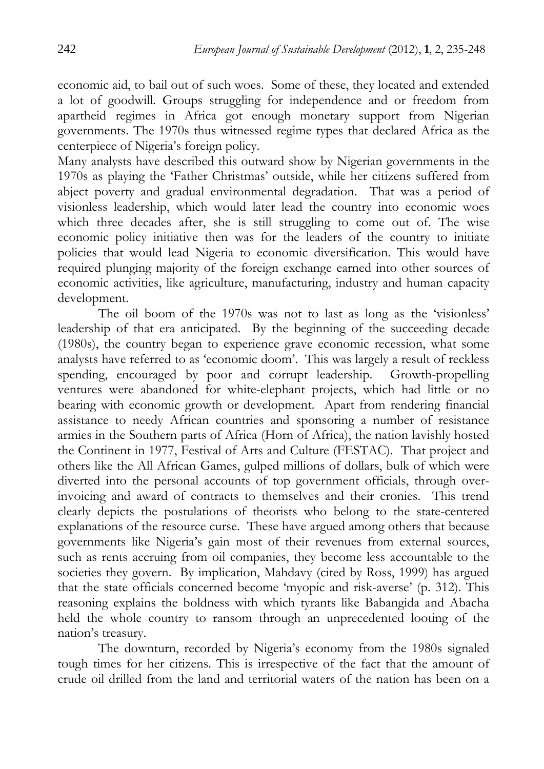economic aid, to bail out of such woes. Some of these, they located and extended a lot of goodwill. Groups struggling for independence and or freedom from apartheid regimes in Africa got enough monetary support from Nigerian governments. The 1970s thus witnessed regime types that declared Africa as the centerpiece of Nigeria's foreign policy.

Many analysts have described this outward show by Nigerian governments in the 1970s as playing the 'Father Christmas' outside, while her citizens suffered from abject poverty and gradual environmental degradation. That was a period of visionless leadership, which would later lead the country into economic woes which three decades after, she is still struggling to come out of. The wise economic policy initiative then was for the leaders of the country to initiate policies that would lead Nigeria to economic diversification. This would have required plunging majority of the foreign exchange earned into other sources of economic activities, like agriculture, manufacturing, industry and human capacity development.

 The oil boom of the 1970s was not to last as long as the 'visionless' leadership of that era anticipated. By the beginning of the succeeding decade (1980s), the country began to experience grave economic recession, what some analysts have referred to as 'economic doom'. This was largely a result of reckless spending, encouraged by poor and corrupt leadership. Growth-propelling ventures were abandoned for white-elephant projects, which had little or no bearing with economic growth or development. Apart from rendering financial assistance to needy African countries and sponsoring a number of resistance armies in the Southern parts of Africa (Horn of Africa), the nation lavishly hosted the Continent in 1977, Festival of Arts and Culture (FESTAC). That project and others like the All African Games, gulped millions of dollars, bulk of which were diverted into the personal accounts of top government officials, through overinvoicing and award of contracts to themselves and their cronies. This trend clearly depicts the postulations of theorists who belong to the state-centered explanations of the resource curse. These have argued among others that because governments like Nigeria's gain most of their revenues from external sources, such as rents accruing from oil companies, they become less accountable to the societies they govern. By implication, Mahdavy (cited by Ross, 1999) has argued that the state officials concerned become 'myopic and risk-averse' (p. 312). This reasoning explains the boldness with which tyrants like Babangida and Abacha held the whole country to ransom through an unprecedented looting of the nation's treasury.

 The downturn, recorded by Nigeria's economy from the 1980s signaled tough times for her citizens. This is irrespective of the fact that the amount of crude oil drilled from the land and territorial waters of the nation has been on a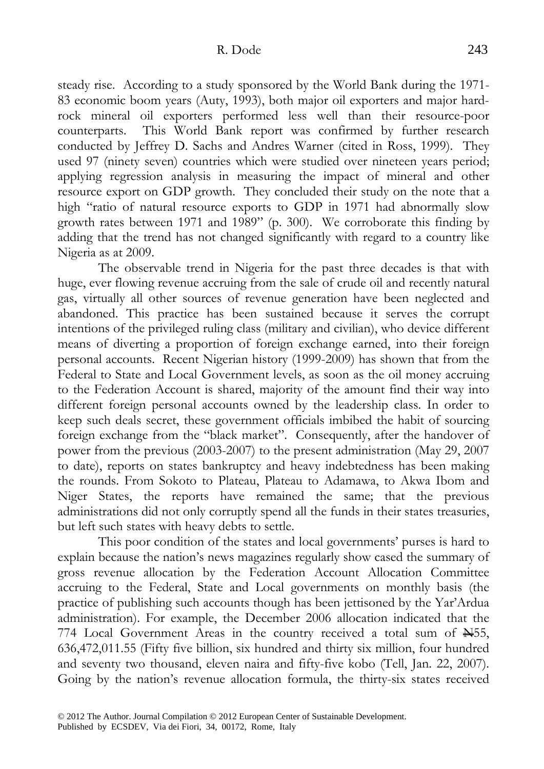steady rise. According to a study sponsored by the World Bank during the 1971- 83 economic boom years (Auty, 1993), both major oil exporters and major hardrock mineral oil exporters performed less well than their resource-poor counterparts. This World Bank report was confirmed by further research conducted by Jeffrey D. Sachs and Andres Warner (cited in Ross, 1999). They used 97 (ninety seven) countries which were studied over nineteen years period; applying regression analysis in measuring the impact of mineral and other resource export on GDP growth. They concluded their study on the note that a high "ratio of natural resource exports to GDP in 1971 had abnormally slow growth rates between 1971 and 1989" (p. 300). We corroborate this finding by adding that the trend has not changed significantly with regard to a country like Nigeria as at 2009.

 The observable trend in Nigeria for the past three decades is that with huge, ever flowing revenue accruing from the sale of crude oil and recently natural gas, virtually all other sources of revenue generation have been neglected and abandoned. This practice has been sustained because it serves the corrupt intentions of the privileged ruling class (military and civilian), who device different means of diverting a proportion of foreign exchange earned, into their foreign personal accounts. Recent Nigerian history (1999-2009) has shown that from the Federal to State and Local Government levels, as soon as the oil money accruing to the Federation Account is shared, majority of the amount find their way into different foreign personal accounts owned by the leadership class. In order to keep such deals secret, these government officials imbibed the habit of sourcing foreign exchange from the "black market". Consequently, after the handover of power from the previous (2003-2007) to the present administration (May 29, 2007 to date), reports on states bankruptcy and heavy indebtedness has been making the rounds. From Sokoto to Plateau, Plateau to Adamawa, to Akwa Ibom and Niger States, the reports have remained the same; that the previous administrations did not only corruptly spend all the funds in their states treasuries, but left such states with heavy debts to settle.

 This poor condition of the states and local governments' purses is hard to explain because the nation's news magazines regularly show cased the summary of gross revenue allocation by the Federation Account Allocation Committee accruing to the Federal, State and Local governments on monthly basis (the practice of publishing such accounts though has been jettisoned by the Yar'Ardua administration). For example, the December 2006 allocation indicated that the 774 Local Government Areas in the country received a total sum of  $\mathbb{H}55$ , 636,472,011.55 (Fifty five billion, six hundred and thirty six million, four hundred and seventy two thousand, eleven naira and fifty-five kobo (Tell, Jan. 22, 2007). Going by the nation's revenue allocation formula, the thirty-six states received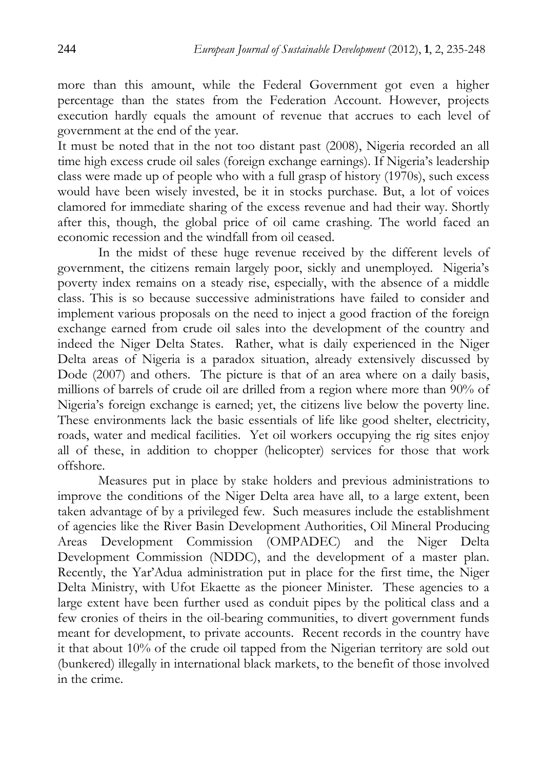more than this amount, while the Federal Government got even a higher percentage than the states from the Federation Account. However, projects execution hardly equals the amount of revenue that accrues to each level of government at the end of the year.

It must be noted that in the not too distant past (2008), Nigeria recorded an all time high excess crude oil sales (foreign exchange earnings). If Nigeria's leadership class were made up of people who with a full grasp of history (1970s), such excess would have been wisely invested, be it in stocks purchase. But, a lot of voices clamored for immediate sharing of the excess revenue and had their way. Shortly after this, though, the global price of oil came crashing. The world faced an economic recession and the windfall from oil ceased.

 In the midst of these huge revenue received by the different levels of government, the citizens remain largely poor, sickly and unemployed. Nigeria's poverty index remains on a steady rise, especially, with the absence of a middle class. This is so because successive administrations have failed to consider and implement various proposals on the need to inject a good fraction of the foreign exchange earned from crude oil sales into the development of the country and indeed the Niger Delta States. Rather, what is daily experienced in the Niger Delta areas of Nigeria is a paradox situation, already extensively discussed by Dode (2007) and others. The picture is that of an area where on a daily basis, millions of barrels of crude oil are drilled from a region where more than 90% of Nigeria's foreign exchange is earned; yet, the citizens live below the poverty line. These environments lack the basic essentials of life like good shelter, electricity, roads, water and medical facilities. Yet oil workers occupying the rig sites enjoy all of these, in addition to chopper (helicopter) services for those that work offshore.

 Measures put in place by stake holders and previous administrations to improve the conditions of the Niger Delta area have all, to a large extent, been taken advantage of by a privileged few. Such measures include the establishment of agencies like the River Basin Development Authorities, Oil Mineral Producing Areas Development Commission (OMPADEC) and the Niger Delta Development Commission (NDDC), and the development of a master plan. Recently, the Yar'Adua administration put in place for the first time, the Niger Delta Ministry, with Ufot Ekaette as the pioneer Minister. These agencies to a large extent have been further used as conduit pipes by the political class and a few cronies of theirs in the oil-bearing communities, to divert government funds meant for development, to private accounts. Recent records in the country have it that about 10% of the crude oil tapped from the Nigerian territory are sold out (bunkered) illegally in international black markets, to the benefit of those involved in the crime.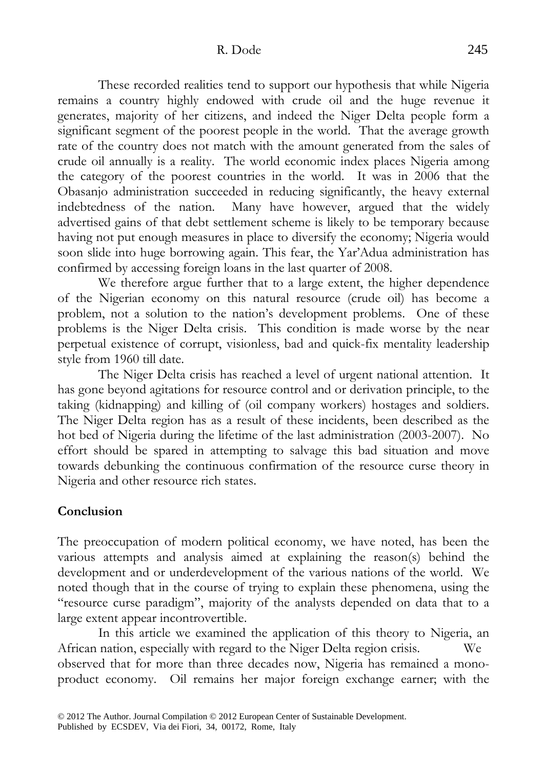These recorded realities tend to support our hypothesis that while Nigeria remains a country highly endowed with crude oil and the huge revenue it generates, majority of her citizens, and indeed the Niger Delta people form a significant segment of the poorest people in the world. That the average growth rate of the country does not match with the amount generated from the sales of crude oil annually is a reality. The world economic index places Nigeria among the category of the poorest countries in the world. It was in 2006 that the Obasanjo administration succeeded in reducing significantly, the heavy external indebtedness of the nation. Many have however, argued that the widely advertised gains of that debt settlement scheme is likely to be temporary because having not put enough measures in place to diversify the economy; Nigeria would soon slide into huge borrowing again. This fear, the Yar'Adua administration has confirmed by accessing foreign loans in the last quarter of 2008.

 We therefore argue further that to a large extent, the higher dependence of the Nigerian economy on this natural resource (crude oil) has become a problem, not a solution to the nation's development problems. One of these problems is the Niger Delta crisis. This condition is made worse by the near perpetual existence of corrupt, visionless, bad and quick-fix mentality leadership style from 1960 till date.

 The Niger Delta crisis has reached a level of urgent national attention. It has gone beyond agitations for resource control and or derivation principle, to the taking (kidnapping) and killing of (oil company workers) hostages and soldiers. The Niger Delta region has as a result of these incidents, been described as the hot bed of Nigeria during the lifetime of the last administration (2003-2007). No effort should be spared in attempting to salvage this bad situation and move towards debunking the continuous confirmation of the resource curse theory in Nigeria and other resource rich states.

# **Conclusion**

The preoccupation of modern political economy, we have noted, has been the various attempts and analysis aimed at explaining the reason(s) behind the development and or underdevelopment of the various nations of the world. We noted though that in the course of trying to explain these phenomena, using the "resource curse paradigm", majority of the analysts depended on data that to a large extent appear incontrovertible.

 In this article we examined the application of this theory to Nigeria, an African nation, especially with regard to the Niger Delta region crisis. We observed that for more than three decades now, Nigeria has remained a monoproduct economy. Oil remains her major foreign exchange earner; with the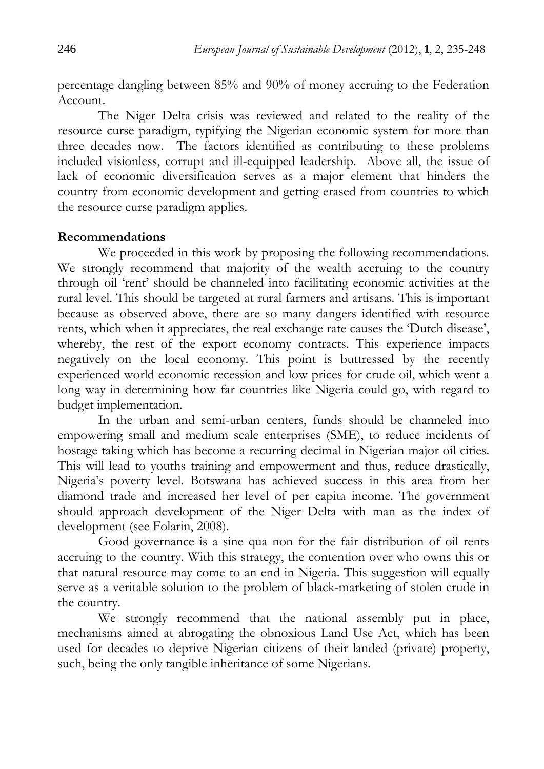percentage dangling between 85% and 90% of money accruing to the Federation Account.

 The Niger Delta crisis was reviewed and related to the reality of the resource curse paradigm, typifying the Nigerian economic system for more than three decades now. The factors identified as contributing to these problems included visionless, corrupt and ill-equipped leadership. Above all, the issue of lack of economic diversification serves as a major element that hinders the country from economic development and getting erased from countries to which the resource curse paradigm applies.

## **Recommendations**

We proceeded in this work by proposing the following recommendations. We strongly recommend that majority of the wealth accruing to the country through oil 'rent' should be channeled into facilitating economic activities at the rural level. This should be targeted at rural farmers and artisans. This is important because as observed above, there are so many dangers identified with resource rents, which when it appreciates, the real exchange rate causes the 'Dutch disease', whereby, the rest of the export economy contracts. This experience impacts negatively on the local economy. This point is buttressed by the recently experienced world economic recession and low prices for crude oil, which went a long way in determining how far countries like Nigeria could go, with regard to budget implementation.

 In the urban and semi-urban centers, funds should be channeled into empowering small and medium scale enterprises (SME), to reduce incidents of hostage taking which has become a recurring decimal in Nigerian major oil cities. This will lead to youths training and empowerment and thus, reduce drastically, Nigeria's poverty level. Botswana has achieved success in this area from her diamond trade and increased her level of per capita income. The government should approach development of the Niger Delta with man as the index of development (see Folarin, 2008).

 Good governance is a sine qua non for the fair distribution of oil rents accruing to the country. With this strategy, the contention over who owns this or that natural resource may come to an end in Nigeria. This suggestion will equally serve as a veritable solution to the problem of black-marketing of stolen crude in the country.

 We strongly recommend that the national assembly put in place, mechanisms aimed at abrogating the obnoxious Land Use Act, which has been used for decades to deprive Nigerian citizens of their landed (private) property, such, being the only tangible inheritance of some Nigerians.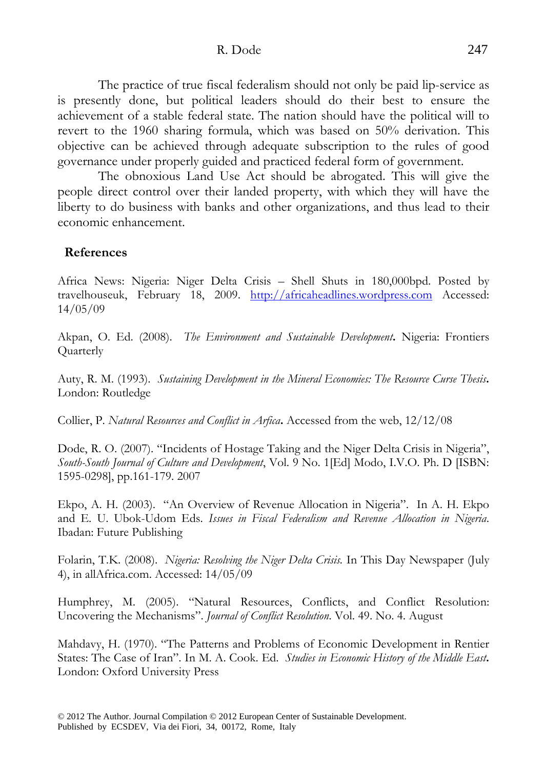R. Dode 247

 The practice of true fiscal federalism should not only be paid lip-service as is presently done, but political leaders should do their best to ensure the achievement of a stable federal state. The nation should have the political will to revert to the 1960 sharing formula, which was based on 50% derivation. This objective can be achieved through adequate subscription to the rules of good governance under properly guided and practiced federal form of government.

 The obnoxious Land Use Act should be abrogated. This will give the people direct control over their landed property, with which they will have the liberty to do business with banks and other organizations, and thus lead to their economic enhancement.

## **References**

Africa News: Nigeria: Niger Delta Crisis – Shell Shuts in 180,000bpd. Posted by travelhouseuk, February 18, 2009. http://africaheadlines.wordpress.com Accessed: 14/05/09

Akpan, O. Ed. (2008). *The Environment and Sustainable Development***.** Nigeria: Frontiers Quarterly

Auty, R. M. (1993). *Sustaining Development in the Mineral Economies: The Resource Curse Thesis***.** London: Routledge

Collier, P. *Natural Resources and Conflict in Arfica***.** Accessed from the web, 12/12/08

Dode, R. O. (2007). "Incidents of Hostage Taking and the Niger Delta Crisis in Nigeria", *South-South Journal of Culture and Development*, Vol. 9 No. 1[Ed] Modo, I.V.O. Ph. D [ISBN: 1595-0298], pp.161-179. 2007

Ekpo, A. H. (2003). "An Overview of Revenue Allocation in Nigeria". In A. H. Ekpo and E. U. Ubok-Udom Eds. *Issues in Fiscal Federalism and Revenue Allocation in Nigeria*. Ibadan: Future Publishing

Folarin, T.K. (2008). *Nigeria: Resolving the Niger Delta Crisis.* In This Day Newspaper (July 4), in allAfrica.com. Accessed: 14/05/09

Humphrey, M. (2005). "Natural Resources, Conflicts, and Conflict Resolution: Uncovering the Mechanisms". *Journal of Conflict Resolution*. Vol. 49. No. 4. August

Mahdavy, H. (1970). "The Patterns and Problems of Economic Development in Rentier States: The Case of Iran". In M. A. Cook. Ed. *Studies in Economic History of the Middle East***.** London: Oxford University Press